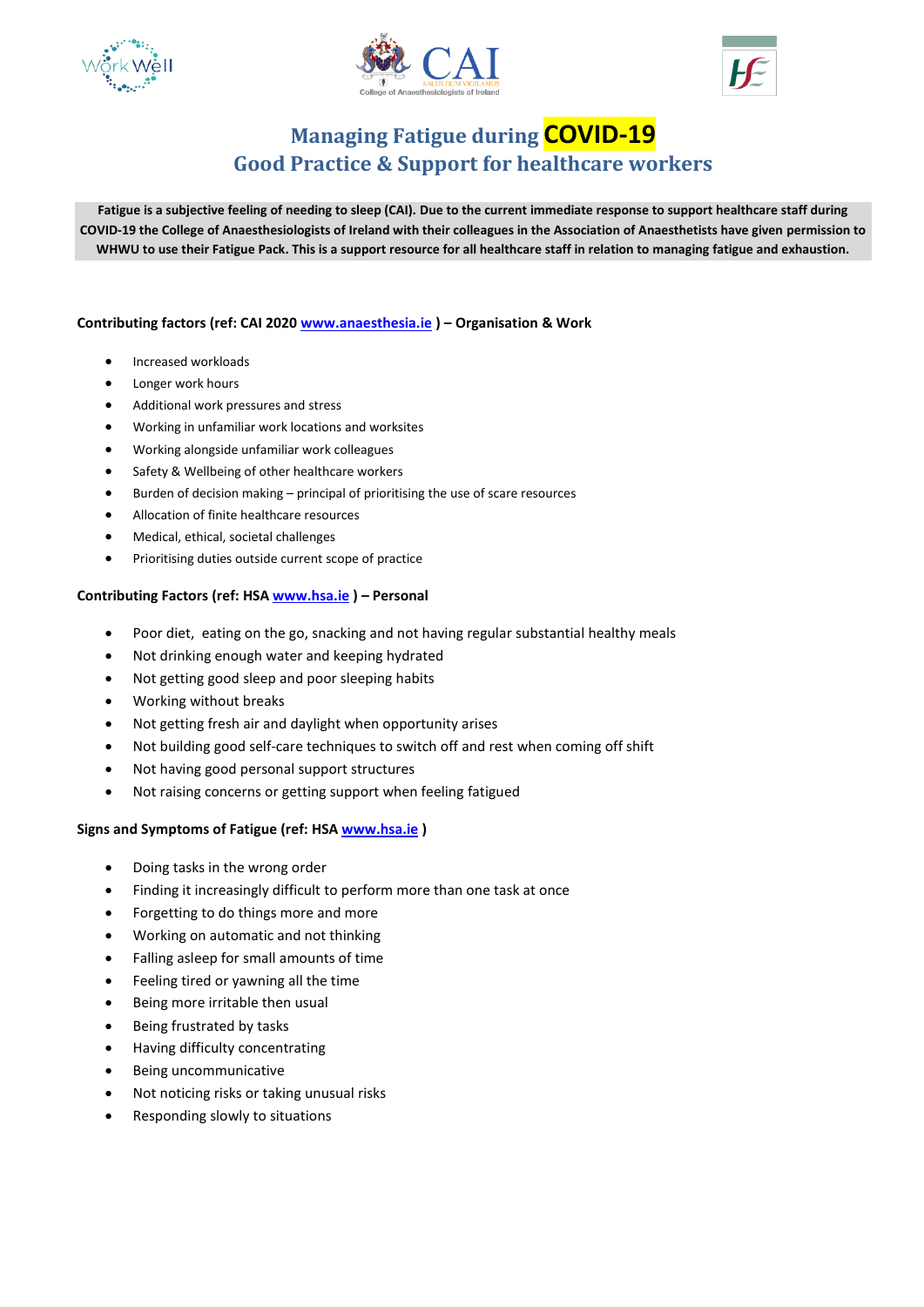





# **Managing Fatigue during COVID-19 Good Practice & Support for healthcare workers**

**Fatigue is a subjective feeling of needing to sleep (CAI). Due to the current immediate response to support healthcare staff during COVID-19 the College of Anaesthesiologists of Ireland with their colleagues in the Association of Anaesthetists have given permission to WHWU to use their Fatigue Pack. This is a support resource for all healthcare staff in relation to managing fatigue and exhaustion.** 

### **Contributing factors (ref: CAI 2020 [www.anaesthesia.ie](http://www.anaesthesia.ie/) ) – Organisation & Work**

- **•** Increased workloads
- Longer work hours
- Additional work pressures and stress
- Working in unfamiliar work locations and worksites
- Working alongside unfamiliar work colleagues
- Safety & Wellbeing of other healthcare workers
- Burden of decision making principal of prioritising the use of scare resources
- Allocation of finite healthcare resources
- Medical, ethical, societal challenges
- Prioritising duties outside current scope of practice

#### **Contributing Factors (ref: HSA [www.hsa.ie](http://www.hsa.ie/) ) – Personal**

- Poor diet, eating on the go, snacking and not having regular substantial healthy meals
- Not drinking enough water and keeping hydrated
- Not getting good sleep and poor sleeping habits
- Working without breaks
- Not getting fresh air and daylight when opportunity arises
- Not building good self-care techniques to switch off and rest when coming off shift
- Not having good personal support structures
- Not raising concerns or getting support when feeling fatigued

#### **Signs and Symptoms of Fatigue (ref: HS[A www.hsa.ie](http://www.hsa.ie/) )**

- Doing tasks in the wrong order
- Finding it increasingly difficult to perform more than one task at once
- Forgetting to do things more and more
- Working on automatic and not thinking
- Falling asleep for small amounts of time
- Feeling tired or yawning all the time
- Being more irritable then usual
- Being frustrated by tasks
- Having difficulty concentrating
- Being uncommunicative
- Not noticing risks or taking unusual risks
- Responding slowly to situations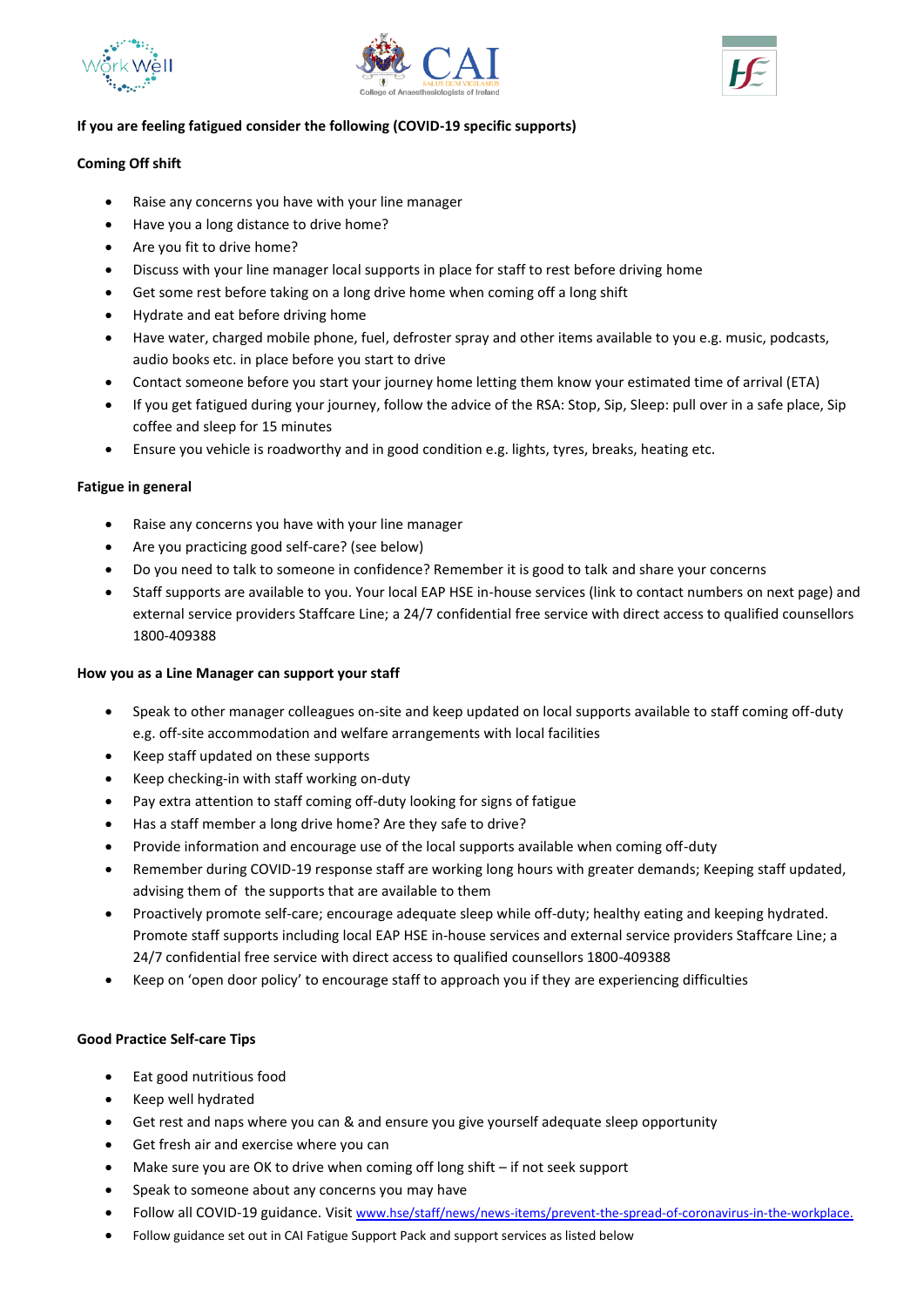





## **If you are feeling fatigued consider the following (COVID-19 specific supports)**

## **Coming Off shift**

- Raise any concerns you have with your line manager
- Have you a long distance to drive home?
- Are you fit to drive home?
- Discuss with your line manager local supports in place for staff to rest before driving home
- Get some rest before taking on a long drive home when coming off a long shift
- Hydrate and eat before driving home
- Have water, charged mobile phone, fuel, defroster spray and other items available to you e.g. music, podcasts, audio books etc. in place before you start to drive
- Contact someone before you start your journey home letting them know your estimated time of arrival (ETA)
- If you get fatigued during your journey, follow the advice of the RSA: Stop, Sip, Sleep: pull over in a safe place, Sip coffee and sleep for 15 minutes
- Ensure you vehicle is roadworthy and in good condition e.g. lights, tyres, breaks, heating etc.

#### **Fatigue in general**

- Raise any concerns you have with your line manager
- Are you practicing good self-care? (see below)
- Do you need to talk to someone in confidence? Remember it is good to talk and share your concerns
- Staff supports are available to you. Your local EAP HSE in-house services (link to contact numbers on next page) and external service providers Staffcare Line; a 24/7 confidential free service with direct access to qualified counsellors 1800-409388

#### **How you as a Line Manager can support your staff**

- Speak to other manager colleagues on-site and keep updated on local supports available to staff coming off-duty e.g. off-site accommodation and welfare arrangements with local facilities
- Keep staff updated on these supports
- Keep checking-in with staff working on-duty
- Pay extra attention to staff coming off-duty looking for signs of fatigue
- Has a staff member a long drive home? Are they safe to drive?
- Provide information and encourage use of the local supports available when coming off-duty
- Remember during COVID-19 response staff are working long hours with greater demands; Keeping staff updated, advising them of the supports that are available to them
- Proactively promote self-care; encourage adequate sleep while off-duty; healthy eating and keeping hydrated. Promote staff supports including local EAP HSE in-house services and external service providers Staffcare Line; a 24/7 confidential free service with direct access to qualified counsellors 1800-409388
- Keep on 'open door policy' to encourage staff to approach you if they are experiencing difficulties

#### **Good Practice Self-care Tips**

- Eat good nutritious food
- Keep well hydrated
- Get rest and naps where you can & and ensure you give yourself adequate sleep opportunity
- Get fresh air and exercise where you can
- Make sure you are OK to drive when coming off long shift if not seek support
- Speak to someone about any concerns you may have
- Follow all COVID-19 guidance. Visit [www.hse/staff/news/news-items/prevent-the-spread-of-coronavirus-in-the-workplace.](http://www.hse/staff/news/news-items/prevent-the-spread-of-coronavirus-in-the-workplace)
- Follow guidance set out in CAI Fatigue Support Pack and support services as listed below